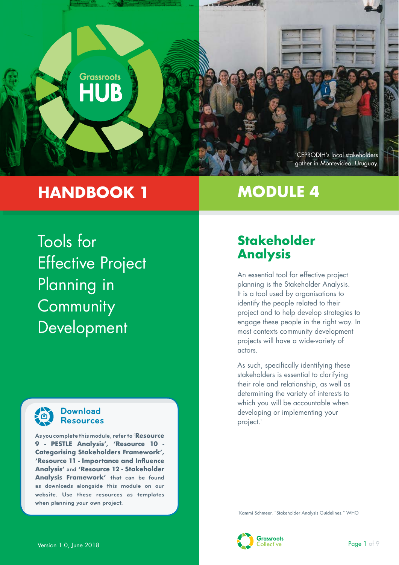

# **HANDBOOK 1**

# **MODULE 4**

Tools for Effective Project Planning in **Community** Development



#### **Download Resources**

**As you complete this module, refer to 'Resource 9 - PESTLE Analysis', 'Resource 10 - Categorising Stakeholders Framework', 'Resource 11 - Importance and Influence Analysis' and 'Resource 12 - Stakeholder Analysis Framework' that can be found as downloads alongside this module on our website. Use these resources as templates when planning your own project.**

# **Stakeholder Analysis**

An essential tool for effective project planning is the Stakeholder Analysis. It is a tool used by organisations to identify the people related to their project and to help develop strategies to engage these people in the right way. In most contexts community development projects will have a wide-variety of actors.

As such, specifically identifying these stakeholders is essential to clarifying their role and relationship, as well as determining the variety of interests to which you will be accountable when developing or implementing your project.<sup>1</sup>

<sup>1</sup> Kammi Schmeer. "Stakeholder Analysis Guidelines." WHO

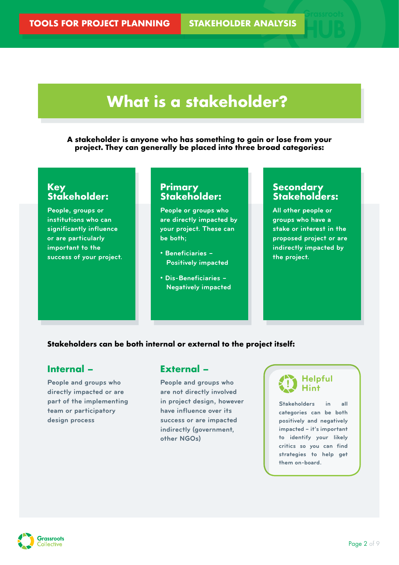# **What is a stakeholder?**

**A stakeholder is anyone who has something to gain or lose from your project. They can generally be placed into three broad categories:**

#### **Key Stakeholder:**

**People, groups or institutions who can significantly influence or are particularly important to the success of your project.**

#### **Primary Stakeholder:**

**People or groups who are directly impacted by your project. These can be both;**

- **Beneficiaries Positively impacted**
- **Dis-Beneficiaries Negatively impacted**

#### **Secondary Stakeholders:**

**All other people or groups who have a stake or interest in the proposed project or are indirectly impacted by the project.**

#### **Stakeholders can be both internal or external to the project itself:**

#### **Internal –**

**People and groups who directly impacted or are part of the implementing team or participatory design process**

#### **External –**

**People and groups who are not directly involved in project design, however have influence over its success or are impacted indirectly (government, other NGOs)**



**Stakeholders in all categories can be both positively and negatively impacted – it's important to identify your likely critics so you can find strategies to help get them on-board.**

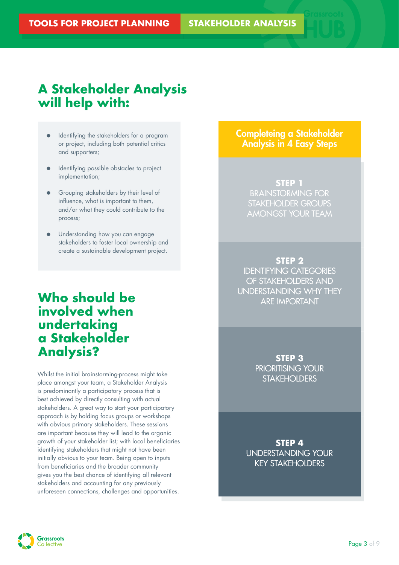### **A Stakeholder Analysis will help with:**

- Identifying the stakeholders for a program or project, including both potential critics and supporters;
- Identifying possible obstacles to project implementation;
- Grouping stakeholders by their level of influence, what is important to them, and/or what they could contribute to the process;
- Understanding how you can engage stakeholders to foster local ownership and create a sustainable development project.

### **Who should be involved when undertaking a Stakeholder Analysis?**

Whilst the initial brainstorming-process might take place amongst your team, a Stakeholder Analysis is predominantly a participatory process that is best achieved by directly consulting with actual stakeholders. A great way to start your participatory approach is by holding focus groups or workshops with obvious primary stakeholders. These sessions are important because they will lead to the organic growth of your stakeholder list; with local beneficiaries identifying stakeholders that might not have been initially obvious to your team. Being open to inputs from beneficiaries and the broader community gives you the best chance of identifying all relevant stakeholders and accounting for any previously unforeseen connections, challenges and opportunities.

#### Completeing a Stakeholder Analysis in 4 Easy Steps

#### **STEP 1**

BRAINSTORMING FOR STAKEHOLDER GROUPS AMONGST YOUR TEAM

#### **STEP 2**

IDENTIFYING CATEGORIES OF STAKEHOLDERS AND UNDERSTANDING WHY THEY ARE IMPORTANT

> **STEP 3** PRIORITISING YOUR **STAKEHOLDERS**

**STEP 4** UNDERSTANDING YOUR KEY STAKEHOLDERS

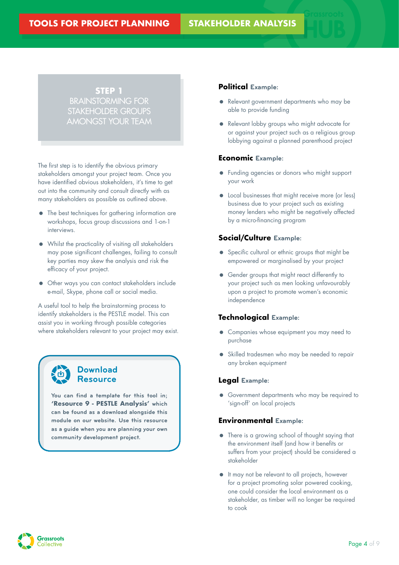#### **STEP 1**  BRAINSTORMING FOR STAKEHOLDER GROUPS AMONGST YOUR TEAM

The first step is to identify the obvious primary stakeholders amongst your project team. Once you have identified obvious stakeholders, it's time to get out into the community and consult directly with as many stakeholders as possible as outlined above.

- The best techniques for gathering information are workshops, focus group discussions and 1-on-1 interviews.
- Whilst the practicality of visiting all stakeholders may pose significant challenges, failing to consult key parties may skew the analysis and risk the efficacy of your project.
- Other ways you can contact stakeholders include e-mail, Skype, phone call or social media.

A useful tool to help the brainstorming process to identify stakeholders is the PESTLE model. This can assist you in working through possible categories where stakeholders relevant to your project may exist.

#### **Download Resource**

**You can find a template for this tool in; 'Resource 9 - PESTLE Analysis' which can be found as a download alongside this module on our website. Use this resource as a guide when you are planning your own community development project.** 

#### **Political Example:**

- Relevant government departments who may be able to provide funding
- Relevant lobby groups who might advocate for or against your project such as a religious group lobbying against a planned parenthood project

#### **Economic Example:**

- Funding agencies or donors who might support your work
- Local businesses that might receive more (or less) business due to your project such as existing money lenders who might be negatively affected by a micro-financing program

#### **Social/Culture Example:**

- Specific cultural or ethnic groups that might be empowered or marginalised by your project
- **•** Gender groups that might react differently to your project such as men looking unfavourably upon a project to promote women's economic independence

#### **Technological Example:**

- **•** Companies whose equipment you may need to purchase
- Skilled tradesmen who may be needed to repair any broken equipment

#### **Legal Example:**

Government departments who may be required to 'sign-off' on local projects

#### **Environmental Example:**

- There is a growing school of thought saying that the environment itself (and how it benefits or suffers from your project) should be considered a stakeholder
- $\bullet$  It may not be relevant to all projects, however for a project promoting solar powered cooking, one could consider the local environment as a stakeholder, as timber will no longer be required to cook

**Grassroots** ollective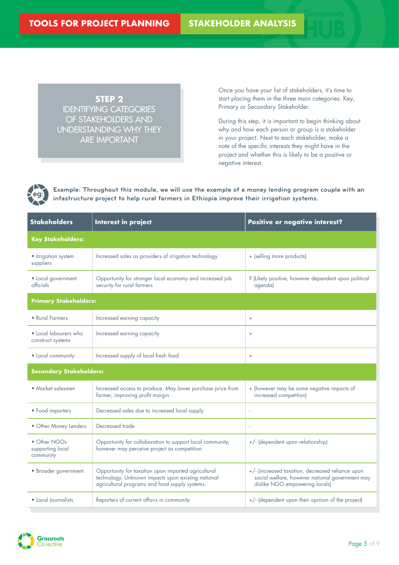### **STEP 2**

IDENTIFYING CATEGORIES OF STAKEHOLDERS AND UNDERSTANDING WHY THEY ARE IMPORTANT

Once you have your list of stakeholders, it's time to start placing them in the three main categories: Key, Primary or Secondary Stakeholder.

During this step, it is important to begin thinking about why and how each person or group is a stakeholder in your project. Next to each stakeholder, make a note of the specific interests they might have in the project and whether this is likely to be a positive or negative interest.

**Example: Throughout this module, we will use the example of a money lending program couple with an infastructure project to help rural farmers in Ethiopia improve their irrigation systems. eg:**

| <b>Stakeholders</b>                           | Interest in project                                                                                                                                         | Positive or negative interest?                                                                                                        |  |  |  |  |  |  |
|-----------------------------------------------|-------------------------------------------------------------------------------------------------------------------------------------------------------------|---------------------------------------------------------------------------------------------------------------------------------------|--|--|--|--|--|--|
| <b>Key Stakeholders:</b>                      |                                                                                                                                                             |                                                                                                                                       |  |  |  |  |  |  |
| • Irrigation system<br>suppliers              | Increased sales as providers of irrigation technology                                                                                                       | + (selling more products)                                                                                                             |  |  |  |  |  |  |
| • Local government<br>officials               | Opportunity for stronger local economy and increased job<br>security for rural farmers                                                                      | ? (Likely positive, however dependent upon political<br>agenda)                                                                       |  |  |  |  |  |  |
| <b>Primary Stakeholders:</b>                  |                                                                                                                                                             |                                                                                                                                       |  |  |  |  |  |  |
| • Rural Farmers                               | Increased earning capacity                                                                                                                                  | $^{+}$                                                                                                                                |  |  |  |  |  |  |
| • Local labourers who<br>construct systems    | Increased earning capacity                                                                                                                                  | $\ddot{}$                                                                                                                             |  |  |  |  |  |  |
| • Local community                             | Increased supply of local fresh food                                                                                                                        | $^{+}$                                                                                                                                |  |  |  |  |  |  |
| <b>Secondary Stakeholders:</b>                |                                                                                                                                                             |                                                                                                                                       |  |  |  |  |  |  |
| • Market salesmen                             | Increased access to produce. May lower purchase price from<br>farmer, improving profit margin                                                               | + (however may be some negative impacts of<br>increased competition)                                                                  |  |  |  |  |  |  |
| • Food importers                              | Decreased sales due to increased local supply                                                                                                               |                                                                                                                                       |  |  |  |  |  |  |
| • Other Money Lenders                         | Decreased trade                                                                                                                                             | à.                                                                                                                                    |  |  |  |  |  |  |
| • Other NGOs<br>supporting local<br>community | Opportunity for collaboration to support local community,<br>however may perceive project as competition                                                    | +/- (dependent upon relationship)                                                                                                     |  |  |  |  |  |  |
| · Broader government                          | Opportunity for taxation upon imported agricultural<br>technology. Unknown impacts upon existing national<br>agricultural programs and food supply systems. | +/- (increased taxation, decreased reliance upon<br>social welfare, however national government may<br>dislike NGO empowering locals) |  |  |  |  |  |  |
| • Local Journalists                           | Reporters of current affairs in community                                                                                                                   | +/- (dependent upon their opinion of the project)                                                                                     |  |  |  |  |  |  |

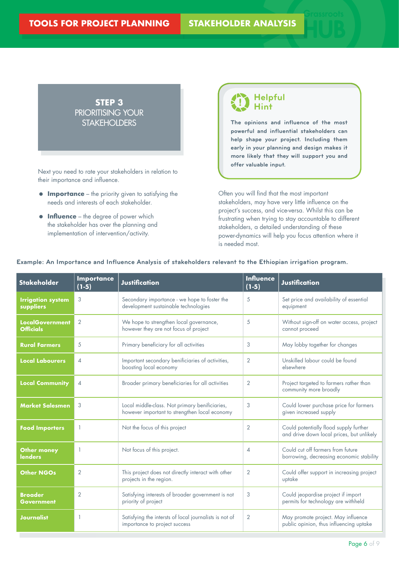**STEP 3** PRIORITISING YOUR **STAKEHOLDERS** 

Next you need to rate your stakeholders in relation to their importance and influence.

- **Importance** the priority given to satisfying the needs and interests of each stakeholder.
- **Influence** the degree of power which the stakeholder has over the planning and implementation of intervention/activity.



**The opinions and influence of the most powerful and influential stakeholders can help shape your project. Including them early in your planning and design makes it more likely that they will support you and offer valuable input.**

Often you will find that the most important stakeholders, may have very little influence on the project's success, and vice-versa. Whilst this can be frustrating when trying to stay accountable to different stakeholders, a detailed understanding of these power-dynamics will help you focus attention where it is needed most.

| <b>Stakeholder</b>                         | <b>Importance</b><br>$(1-5)$ | <b>Justification</b>                                                                            | <b>Influence</b><br>$(1-5)$                                      | <b>Justification</b>                                                                |  |
|--------------------------------------------|------------------------------|-------------------------------------------------------------------------------------------------|------------------------------------------------------------------|-------------------------------------------------------------------------------------|--|
| <b>Irrigation system</b><br>suppliers      | 3                            | Secondary importance - we hope to foster the<br>development sustainable technologies            | Set price and availability of essential<br>5<br>equipment        |                                                                                     |  |
| <b>LocalGovernment</b><br><b>Officials</b> | 2                            | We hope to strengthen local governance,<br>however they are not focus of project                | 5<br>Without sign-off on water access, project<br>cannot proceed |                                                                                     |  |
| <b>Rural Farmers</b>                       | 5                            | Primary beneficiary for all activities                                                          | 3                                                                | May lobby together for changes                                                      |  |
| <b>Local Labourers</b>                     | $\overline{A}$               | Important secondary benificiaries of activities,<br>boosting local economy                      | 2                                                                | Unskilled labour could be found<br>elsewhere                                        |  |
| <b>Local Community</b>                     | 4                            | Broader primary beneficiaries for all activities                                                | $\overline{2}$                                                   | Project targeted to farmers rather than<br>community more broadly                   |  |
| <b>Market Salesmen</b>                     | 3                            | Local middle-class. Not primary benificiaries,<br>however important to strengthen local economy | 3                                                                | Could lower purchase price for farmers<br>given increased supply                    |  |
| <b>Food Importers</b>                      |                              | Not the focus of this project                                                                   | $\overline{2}$                                                   | Could potentially flood supply further<br>and drive down local prices, but unlikely |  |
| <b>Other money</b><br><b>lenders</b>       |                              | Not focus of this project.                                                                      | $\boldsymbol{\varDelta}$                                         | Could cut off farmers from future<br>borrowing, decreasing economic stability       |  |
| <b>Other NGOs</b>                          | $\overline{2}$               | This project does not directly interact with other<br>projects in the region.                   | $\overline{2}$                                                   | Could offer support in increasing project<br>uptake                                 |  |
| <b>Broader</b><br><b>Government</b>        | $\overline{2}$               | Satisfying interests of broader government is not<br>priority of project                        | 3                                                                | Could jeopardise project if import<br>permits for technology are withheld           |  |
| <b>Journalist</b>                          | -1                           | Satisfying the intersts of local journalists is not of<br>importance to project success         | $\overline{2}$                                                   | May promote project. May influence<br>public opinion, thus influencing uptake       |  |

#### **Example: An Importance and Influence Analysis of stakeholders relevant to the Ethiopian irrigation program.**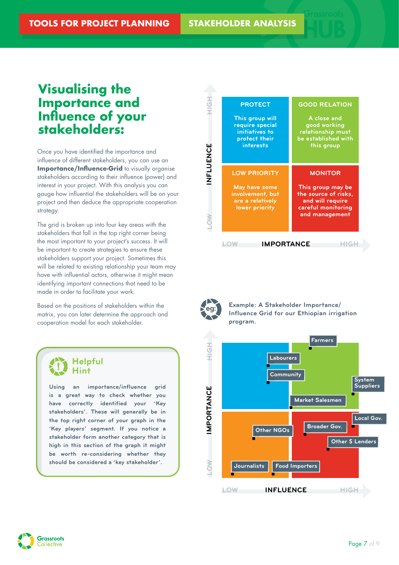### **Visualising the Importance and Influence of your stakeholders:**

Once you have identified the importance and influence of different stakeholders, you can use an **Importance/Influence-Grid** to visually organise stakeholders according to their influence (power) and interest in your project. With this analysis you can gauge how influential the stakeholders will be on your project and then deduce the appropriate cooperation strategy.

The grid is broken up into four key areas with the stakeholders that fall in the top right corner being the most important to your project's success. It will be important to create strategies to ensure these stakeholders support your project. Sometimes this will be related to existing relationship your team may have with influential actors, otherwise it might mean identifying important connections that need to be made in order to facilitate your work.

Based on the positions of stakeholders within the matrix, you can later determine the approach and cooperation model for each stakeholder.



**Using an importance/influence grid is a great way to check whether you have correctly identified your 'Key stakeholders'. These will generally be in the top right corner of your graph in the 'Key players' segment. If you notice a stakeholder form another category that is high in this section of the graph it might be worth re-considering whether they should be considered a 'key stakeholder'.**





**Example: A Stakeholder Importance/ Influence Grid for our Ethiopian irrigation program.**



**Grassroots Collective**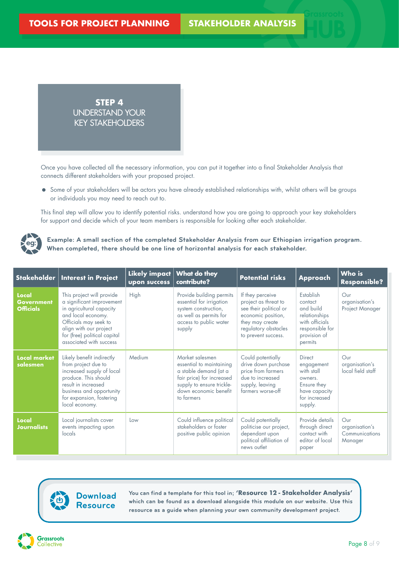

Once you have collected all the necessary information, you can put it together into a final Stakeholder Analysis that connects different stakeholders with your proposed project.

 Some of your stakeholders will be actors you have already established relationships with, whilst others will be groups or individuals you may need to reach out to.

This final step will allow you to identify potential risks. understand how you are going to approach your key stakeholders for support and decide which of your team members is responsible for looking after each stakeholder.



**Example: A small section of the completed Stakeholder Analysis from our Ethiopian irrigation program. When completed, there should be one line of horizontal analysis for each stakeholder.**

|                                                | Stakeholder   Interest in Project                                                                                                                                                                                      | Likely impact   What do they<br>upon success | contribute?                                                                                                                                                           | <b>Potential risks</b>                                                                                                                                     | Approach                                                                                                           | Who is<br><b>Responsible?</b>                      |
|------------------------------------------------|------------------------------------------------------------------------------------------------------------------------------------------------------------------------------------------------------------------------|----------------------------------------------|-----------------------------------------------------------------------------------------------------------------------------------------------------------------------|------------------------------------------------------------------------------------------------------------------------------------------------------------|--------------------------------------------------------------------------------------------------------------------|----------------------------------------------------|
| Local<br><b>Government</b><br><b>Officials</b> | This project will provide<br>a significant improvement<br>in agricultural capacity<br>and local economy.<br>Officials may seek to<br>align with our project<br>for (free) political capital<br>associated with success | High                                         | Provide building permits<br>essential for irrigation<br>system construction,<br>as well as permits for<br>access to public water<br>supply                            | If they perceive<br>project as threat to<br>see their political or<br>economic position,<br>they may create<br>regulatory obstacles<br>to prevent success. | Establish<br>contact<br>and build<br>relationships<br>with officials<br>responsible for<br>provision of<br>permits | Our<br>organisation's<br>Project Manager           |
| <b>Local market</b><br>salesmen                | Likely benefit indirectly<br>from project due to<br>increased supply of local<br>produce. This should<br>result in increased<br>business and opportunity<br>for expansion, fostering<br>local economy.                 | Medium                                       | Market salesmen<br>essential to maintaining<br>a stable demand (at a<br>fair price) for increased<br>supply to ensure trickle-<br>down economic benefit<br>to farmers | Could potentially<br>drive down purchase<br>price from farmers<br>due to increased<br>supply, leaving<br>farmers worse-off                                 | Direct<br>engagement<br>with stall<br>owners.<br>Ensure they<br>have capacity<br>for increased<br>supply.          | Our<br>organisation's<br>local field staff         |
| Local<br><b>Journalists</b>                    | Local journalists cover<br>events impacting upon<br>locals                                                                                                                                                             | Low                                          | Could influence political<br>stakeholders or foster<br>positive public opinion                                                                                        | Could potentially<br>politicise our project,<br>dependant upon<br>political affiliation of<br>news outlet                                                  | Provide details<br>through direct<br>contact with<br>editor of local<br>paper                                      | Our<br>organisation's<br>Communications<br>Manager |

### **Download Resource**

**You can find a template for this tool in; 'Resource 12 - Stakeholder Analysis' which can be found as a download alongside this module on our website. Use this resource as a guide when planning your own community development project.**